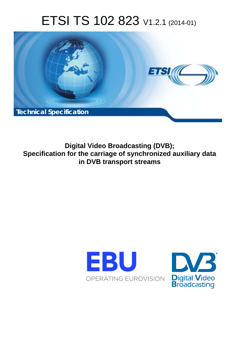# ETSI TS 102 823 V1.2.1 (2014-01)



**Digital Video Broadcasting (DVB); Specification for the carriage of synchronized auxiliary data in DVB transport streams** 



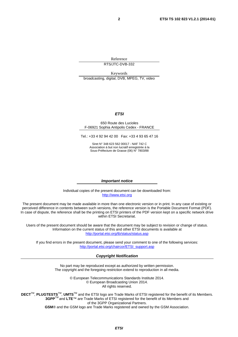Reference RTS/JTC-DVB-332

Keywords broadcasting, digital, DVB, MPEG, TV, video

#### *ETSI*

#### 650 Route des Lucioles F-06921 Sophia Antipolis Cedex - FRANCE

Tel.: +33 4 92 94 42 00 Fax: +33 4 93 65 47 16

Siret N° 348 623 562 00017 - NAF 742 C Association à but non lucratif enregistrée à la Sous-Préfecture de Grasse (06) N° 7803/88

#### *Important notice*

Individual copies of the present document can be downloaded from: [http://www.etsi.org](http://www.etsi.org/)

The present document may be made available in more than one electronic version or in print. In any case of existing or perceived difference in contents between such versions, the reference version is the Portable Document Format (PDF). In case of dispute, the reference shall be the printing on ETSI printers of the PDF version kept on a specific network drive within ETSI Secretariat.

Users of the present document should be aware that the document may be subject to revision or change of status. Information on the current status of this and other ETSI documents is available at <http://portal.etsi.org/tb/status/status.asp>

If you find errors in the present document, please send your comment to one of the following services: [http://portal.etsi.org/chaircor/ETSI\\_support.asp](http://portal.etsi.org/chaircor/ETSI_support.asp)

#### *Copyright Notification*

No part may be reproduced except as authorized by written permission. The copyright and the foregoing restriction extend to reproduction in all media.

> © European Telecommunications Standards Institute 2014. © European Broadcasting Union 2014. All rights reserved.

**DECT**TM, **PLUGTESTS**TM, **UMTS**TM and the ETSI logo are Trade Marks of ETSI registered for the benefit of its Members. **3GPP**TM and **LTE**™ are Trade Marks of ETSI registered for the benefit of its Members and of the 3GPP Organizational Partners. **GSM**® and the GSM logo are Trade Marks registered and owned by the GSM Association.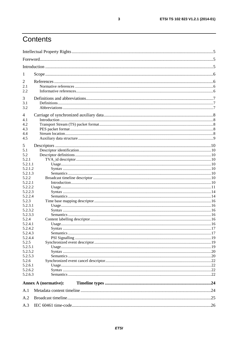# Contents

| 1                  |                             |  |
|--------------------|-----------------------------|--|
| 2                  |                             |  |
| 2.1                |                             |  |
| 2.2                |                             |  |
|                    |                             |  |
| 3                  |                             |  |
| 3.1                |                             |  |
| 3.2                |                             |  |
| 4                  |                             |  |
| 4.1                |                             |  |
| 4.2                |                             |  |
| 4.3                |                             |  |
| 4.4                |                             |  |
| 4.5                |                             |  |
| 5                  |                             |  |
| 5.1                |                             |  |
| 5.2                |                             |  |
| 5.2.1              |                             |  |
| 5.2.1.1            |                             |  |
| 5.2.1.2            |                             |  |
| 5.2.1.3            |                             |  |
| 5.2.2              |                             |  |
| 5.2.2.1            |                             |  |
| 5.2.2.2            |                             |  |
| 5.2.2.3            |                             |  |
| 5.2.2.4            |                             |  |
| 5.2.3              |                             |  |
| 5.2.3.1            |                             |  |
| 5.2.3.2            |                             |  |
| 5.2.3.3            |                             |  |
| 5.2.4              |                             |  |
| 5.2.4.1            |                             |  |
| 5.2.4.2            |                             |  |
| 5.2.4.3            |                             |  |
| 5.2.4.4            |                             |  |
| 5.2.5              |                             |  |
| 5.2.5.1            |                             |  |
| 5.2.5.2            |                             |  |
| 5.2.5.3            |                             |  |
| 5.2.6              |                             |  |
| 5.2.6.1            |                             |  |
| 5.2.6.2<br>5.2.6.3 |                             |  |
|                    |                             |  |
|                    | <b>Annex A (normative):</b> |  |
| A.1                |                             |  |
| A.2                |                             |  |
| A.3                |                             |  |
|                    |                             |  |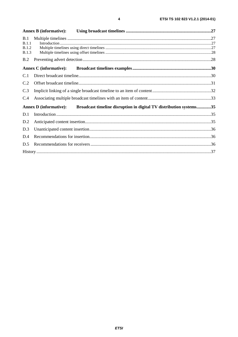|              | <b>Annex B</b> (informative): |                                                                    |  |
|--------------|-------------------------------|--------------------------------------------------------------------|--|
| B.1          |                               |                                                                    |  |
| B.1.1        |                               |                                                                    |  |
| B.1.2        |                               |                                                                    |  |
| <b>B.1.3</b> |                               |                                                                    |  |
| B.2          |                               |                                                                    |  |
|              | <b>Annex C</b> (informative): |                                                                    |  |
| C.1          |                               |                                                                    |  |
| C.2          |                               |                                                                    |  |
| C.3          |                               |                                                                    |  |
| C.4          |                               |                                                                    |  |
|              | <b>Annex D</b> (informative): | Broadcast timeline disruption in digital TV distribution systems35 |  |
| D.1          |                               |                                                                    |  |
| D.2          |                               |                                                                    |  |
| D.3          |                               |                                                                    |  |
| D.4          |                               |                                                                    |  |
| D.5          |                               |                                                                    |  |
|              |                               |                                                                    |  |
|              |                               |                                                                    |  |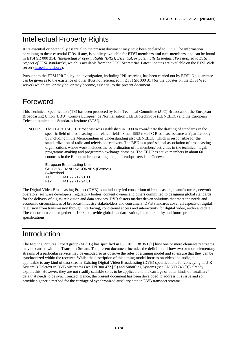### Intellectual Property Rights

IPRs essential or potentially essential to the present document may have been declared to ETSI. The information pertaining to these essential IPRs, if any, is publicly available for **ETSI members and non-members**, and can be found in ETSI SR 000 314: *"Intellectual Property Rights (IPRs); Essential, or potentially Essential, IPRs notified to ETSI in respect of ETSI standards"*, which is available from the ETSI Secretariat. Latest updates are available on the ETSI Web server [\(http://ipr.etsi.org](http://webapp.etsi.org/IPR/home.asp)).

Pursuant to the ETSI IPR Policy, no investigation, including IPR searches, has been carried out by ETSI. No guarantee can be given as to the existence of other IPRs not referenced in ETSI SR 000 314 (or the updates on the ETSI Web server) which are, or may be, or may become, essential to the present document.

### Foreword

This Technical Specification (TS) has been produced by Joint Technical Committee (JTC) Broadcast of the European Broadcasting Union (EBU), Comité Européen de Normalisation ELECtrotechnique (CENELEC) and the European Telecommunications Standards Institute (ETSI).

NOTE: The EBU/ETSI JTC Broadcast was established in 1990 to co-ordinate the drafting of standards in the specific field of broadcasting and related fields. Since 1995 the JTC Broadcast became a tripartite body by including in the Memorandum of Understanding also CENELEC, which is responsible for the standardization of radio and television receivers. The EBU is a professional association of broadcasting organizations whose work includes the co-ordination of its members' activities in the technical, legal, programme-making and programme-exchange domains. The EBU has active members in about 60 countries in the European broadcasting area; its headquarters is in Geneva.

European Broadcasting Union CH-1218 GRAND SACONNEX (Geneva) Switzerland Tel: +41 22 717 21 11<br>Fax: +41 22 717 24 81 Fax: +41 22 717 24 81

The Digital Video Broadcasting Project (DVB) is an industry-led consortium of broadcasters, manufacturers, network operators, software developers, regulatory bodies, content owners and others committed to designing global standards for the delivery of digital television and data services. DVB fosters market driven solutions that meet the needs and economic circumstances of broadcast industry stakeholders and consumers. DVB standards cover all aspects of digital television from transmission through interfacing, conditional access and interactivity for digital video, audio and data. The consortium came together in 1993 to provide global standardization, interoperability and future proof specifications.

### Introduction

The Moving Pictures Expert group (MPEG) has specified in ISO/IEC 13818-1 [1] how one or more elementary streams may be carried within a Transport Stream. The present document includes the definition of how two or more elementary streams of a particular service may be encoded so as observe the rules of a timing model and so ensure that they can be synchronized within the receiver. Whilst the description of this timing model focuses on video and audio, it is applicable to any kind of data stream. Existing Digital Video Broadcasting (DVB) specifications for conveying ITU-R System B Teletext in DVB bitstreams (see EN 300 472 [2]) and Subtitling Systems (see EN 300 743 [3]) already exploit this. However, they are not readily scalable so as to be applicable to the carriage of other kinds of "auxiliary" data that needs to be synchronized. Hence, the present document has been developed to address this issue and so provide a generic method for the carriage of synchronized auxiliary data in DVB transport streams.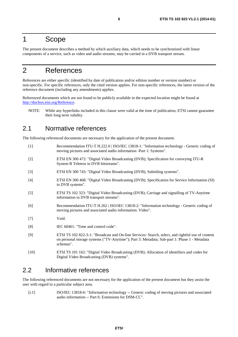### 1 Scope

The present document describes a method by which auxiliary data, which needs to be synchronized with linear components of a service, such as video and audio streams, may be carried in a DVB transport stream.

### 2 References

References are either specific (identified by date of publication and/or edition number or version number) or non-specific. For specific references, only the cited version applies. For non-specific references, the latest version of the reference document (including any amendments) applies.

Referenced documents which are not found to be publicly available in the expected location might be found at [http://docbox.etsi.org/Reference.](http://docbox.etsi.org/Reference)

NOTE: While any hyperlinks included in this clause were valid at the time of publication, ETSI cannot guarantee their long term validity.

### 2.1 Normative references

The following referenced documents are necessary for the application of the present document.

- [1] Recommendation ITU-T H.222.0 | ISO/IEC 13818-1: "Information technology Generic coding of moving pictures and associated audio information -Part 1: Systems".
- [2] ETSI EN 300 472: "Digital Video Broadcasting (DVB); Specification for conveying ITU-R System B Teletext in DVB bitstreams".
- [3] ETSI EN 300 743: "Digital Video Broadcasting (DVB); Subtitling systems".
- [4] ETSI EN 300 468: "Digital Video Broadcasting (DVB); Specification for Service Information (SI) in DVB systems".
- [5] ETSI TS 102 323: "Digital Video Broadcasting (DVB); Carriage and signalling of TV-Anytime information in DVB transport streams".
- [6] Recommendation ITU-T H.262 | ISO/IEC 13818-2: "Information technology Generic coding of moving pictures and associated audio information: Video".
- [7] Void.
- [8] **IEC 60461:** "Time and control code".
- [9] ETSI TS 102 822-3-1: "Broadcast and On-line Services: Search, select, and rightful use of content on personal storage systems ("TV-Anytime"); Part 3: Metadata; Sub-part 1: Phase 1 - Metadata schemas".
- [10] ETSI TS 101 162: "Digital Video Broadcasting (DVB); Allocation of identifiers and codes for Digital Video Broadcasting (DVB) systems".

### 2.2 Informative references

The following referenced documents are not necessary for the application of the present document but they assist the user with regard to a particular subject area.

[i.1] ISO/IEC 13818-6: "Information technology -- Generic coding of moving pictures and associated audio information -- Part 6: Extensions for DSM-CC".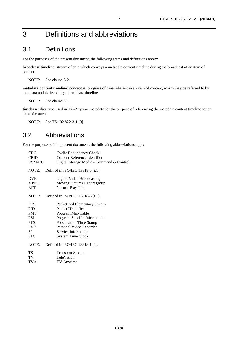# 3 Definitions and abbreviations

### 3.1 Definitions

For the purposes of the present document, the following terms and definitions apply:

**broadcast timeline:** stream of data which conveys a metadata content timeline during the broadcast of an item of content

NOTE: See clause A.2.

**metadata content timeline:** conceptual progress of time inherent in an item of content, which may be referred to by metadata and delivered by a broadcast timeline

NOTE: See clause A.1.

**timebase:** data type used in TV-Anytime metadata for the purpose of referencing the metadata content timeline for an item of content

NOTE: See TS 102 822-3-1 [9].

### 3.2 Abbreviations

For the purposes of the present document, the following abbreviations apply:

| <b>CRC</b><br><b>CRID</b><br>DSM-CC     | <b>Cyclic Redundancy Check</b><br>Content Reference Identifier<br>Digital Storage Media - Command & Control |
|-----------------------------------------|-------------------------------------------------------------------------------------------------------------|
| NOTE:                                   | Defined in ISO/IEC 13818-6 [i.1].                                                                           |
| <b>DVB</b><br><b>MPEG</b><br><b>NPT</b> | Digital Video Broadcasting<br>Moving Pictures Expert group<br>Normal Play Time                              |
| NOTE:                                   | Defined in ISO/IEC 13818-6 [i.1].                                                                           |
| <b>PES</b>                              | Packetized Elementary Stream                                                                                |
| <b>PID</b>                              | Packet IDentifier                                                                                           |
| <b>PMT</b>                              | Program Map Table                                                                                           |
| PSI                                     | Program Specific Information                                                                                |
| <b>PTS</b>                              | <b>Presentation Time Stamp</b>                                                                              |
| <b>PVR</b>                              | Personal Video Recorder                                                                                     |
| SI                                      | Service Information                                                                                         |
| <b>STC</b>                              | <b>System Time Clock</b>                                                                                    |
| NOTE:                                   | Defined in ISO/IEC 13818-1 [1].                                                                             |
| <b>TS</b>                               | <b>Transport Stream</b>                                                                                     |
| TV                                      | TeleVision                                                                                                  |
| <b>TVA</b>                              | TV-Anytime                                                                                                  |
|                                         |                                                                                                             |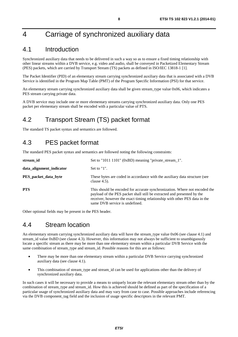# 4 Carriage of synchronized auxiliary data

### 4.1 Introduction

Synchronized auxiliary data that needs to be delivered in such a way so as to ensure a fixed timing relationship with other linear streams within a DVB service, e.g. video and audio, shall be conveyed in Packetized Elementary Stream (PES) packets, which are carried by Transport Stream (TS) packets as defined in ISO/IEC 13818-1 [1].

The Packet Identifier (PID) of an elementary stream carrying synchronized auxiliary data that is associated with a DVB Service is identified in the Program Map Table (PMT) of the Program Specific Information (PSI) for that service.

An elementary stream carrying synchronized auxiliary data shall be given stream type value 0x06, which indicates a PES stream carrying private data.

A DVB service may include one or more elementary streams carrying synchronized auxiliary data. Only one PES packet per elementary stream shall be encoded with a particular value of PTS.

### 4.2 Transport Stream (TS) packet format

The standard TS packet syntax and semantics are followed.

### 4.3 PES packet format

The standard PES packet syntax and semantics are followed noting the following constraints:

| stream id                   | Set to "1011 1101" (0xBD) meaning "private_stream_1".                                                                                                                                                                                                                 |
|-----------------------------|-----------------------------------------------------------------------------------------------------------------------------------------------------------------------------------------------------------------------------------------------------------------------|
| data_alignment_indicator    | Set to $"1"$ .                                                                                                                                                                                                                                                        |
| <b>PES_packet_data_byte</b> | These bytes are coded in accordance with the auxiliary data structure (see<br>clause $4.5$ ).                                                                                                                                                                         |
| <b>PTS</b>                  | This should be encoded for accurate synchronization. Where not encoded the<br>payload of the PES packet shall still be extracted and presented by the<br>receiver, however the exact timing relationship with other PES data in the<br>same DVB service is undefined. |

Other optional fields may be present in the PES header.

### 4.4 Stream location

An elementary stream carrying synchronized auxiliary data will have the stream\_type value 0x06 (see clause 4.1) and stream id value 0xBD (see clause 4.3). However, this information may not always be sufficient to unambiguously locate a specific stream as there may be more than one elementary stream within a particular DVB Service with the same combination of stream type and stream id. Possible reasons for this are as follows:

- There may be more than one elementary stream within a particular DVB Service carrying synchronized auxiliary data (see clause 4.1).
- This combination of stream type and stream id can be used for applications other than the delivery of synchronized auxiliary data.

In such cases it will be necessary to provide a means to uniquely locate the relevant elementary stream other than by the combination of stream\_type and stream\_id. How this is achieved should be defined as part of the specification of a particular usage of synchronized auxiliary data and may vary from case to case. Possible approaches include referencing via the DVB component\_tag field and the inclusion of usage specific descriptors in the relevant PMT.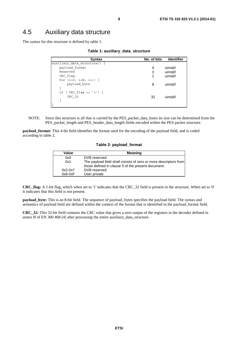### 4.5 Auxiliary data structure

The syntax for this structure is defined by table 1.

| Syntax                     | No. of bits | <b>Identifier</b> |
|----------------------------|-------------|-------------------|
| auxiliary data structure() |             |                   |
| payload format             | 4           | uimsbf            |
| Reserved                   | 3           | uimsbf            |
| CRC flaq                   | 1           | uimsbf            |
| for $(i=0; i {$            |             |                   |
| payload byte               | 8           | uimsbf            |
|                            |             |                   |
| if ( CRC flaq == $'1'$ ) { |             |                   |
| CRC 32                     | 32          | uimsbf            |
|                            |             |                   |
|                            |             |                   |

NOTE: Since this structure is all that is carried by the PES\_packet\_data\_bytes its size can be determined from the PES\_packet\_length and PES\_header\_data\_length fields encoded within the PES packet structure.

**payload\_format:** This 4-bit field identifies the format used for the encoding of the payload field, and is coded according to table 2.

#### **Table 2: payload\_format**

| Value     | <b>Meaning</b>                                                                                                         |
|-----------|------------------------------------------------------------------------------------------------------------------------|
| 0x0       | DVB reserved                                                                                                           |
| 0x1       | The payload field shall consist of zero or more descriptors from<br>those defined in clause 5 of the present document. |
| $0x2-0x7$ | DVB reserved                                                                                                           |
| $0x8-0xF$ | User private                                                                                                           |

**CRC\_flag:** A 1-bit flag, which when set to '1' indicates that the CRC\_32 field is present in the structure. When set to '0' it indicates that this field is not present.

**payload\_byte:** This is an 8-bit field. The sequence of payload\_bytes specifies the payload field. The syntax and semantics of payload field are defined within the context of the format that is identified in the payload format field.

**CRC\_32:** This 32-bit field contains the CRC value that gives a zero output of the registers in the decoder defined in annex B of EN 300 468 [4] after processing the entire auxiliary\_data\_structure.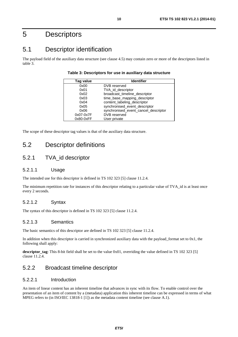## 5 Descriptors

### 5.1 Descriptor identification

The payload field of the auxiliary data structure (see clause 4.5) may contain zero or more of the descriptors listed in table 3.

| Tag value   | <b>Identifier</b>                    |
|-------------|--------------------------------------|
| 0x00        | DVB reserved                         |
| 0x01        | TVA id descriptor                    |
| 0x02        | broadcast_timeline_descriptor        |
| 0x03        | time_base_mapping_descriptor         |
| 0x04        | content_labeling_descriptor          |
| 0x05        | synchronised_event_descriptor        |
| 0x06        | synchronised_event_cancel_descriptor |
| 0x07-0x7F   | DVB reserved                         |
| $0x80-0xFF$ | User private                         |

The scope of these descriptor tag values is that of the auxiliary data structure.

### 5.2 Descriptor definitions

### 5.2.1 TVA\_id descriptor

#### 5.2.1.1 Usage

The intended use for this descriptor is defined in TS 102 323 [5] clause 11.2.4.

The minimum repetition rate for instances of this descriptor relating to a particular value of TVA id is at least once every 2 seconds.

#### 5.2.1.2 Syntax

The syntax of this descriptor is defined in TS 102 323 [5] clause 11.2.4.

#### 5.2.1.3 Semantics

The basic semantics of this descriptor are defined in TS 102 323 [5] clause 11.2.4.

In addition when this descriptor is carried in synchronized auxiliary data with the payload\_format set to 0x1, the following shall apply:

**descriptor\_tag**: This 8-bit field shall be set to the value 0x01, overriding the value defined in TS 102 323 [5] clause 11.2.4.

### 5.2.2 Broadcast timeline descriptor

#### 5.2.2.1 Introduction

An item of linear content has an inherent timeline that advances in sync with its flow. To enable control over the presentation of an item of content by a (metadata) application this inherent timeline can be expressed in terms of what MPEG refers to (in ISO/IEC 13818-1 [1]) as the metadata content timeline (see clause A.1).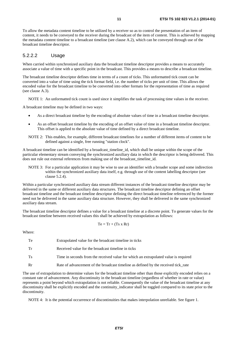To allow the metadata content timeline to be utilized by a receiver so as to control the presentation of an item of content, it needs to be conveyed to the receiver during the broadcast of the item of content. This is achieved by mapping the metadata content timeline to a broadcast timeline (see clause A.2), which can be conveyed through use of the broadcast timeline descriptor.

#### 5.2.2.2 Usage

When carried within synchronized auxiliary data the broadcast timeline descriptor provides a means to accurately associate a value of time with a specific point in the broadcast. This provides a means to describe a broadcast timeline.

The broadcast timeline descriptor defines time in terms of a count of ticks. This unformatted tick count can be converted into a value of time using the tick format field, i.e. the number of ticks per unit of time. This allows the encoded value for the broadcast timeline to be converted into other formats for the representation of time as required (see clause A.3).

NOTE 1: An unformatted tick count is used since it simplifies the task of processing time values in the receiver.

A broadcast timeline may be defined in two ways:

- As a direct broadcast timeline by the encoding of absolute values of time in a broadcast timeline descriptor.
- As an offset broadcast timeline by the encoding of an offset value of time in a broadcast timeline descriptor. This offset is applied to the absolute value of time defined by a direct broadcast timeline.
- NOTE 2: This enables, for example, different broadcast timelines for a number of different items of content to be defined against a single, free running "station clock".

A broadcast timeline can be identified by a broadcast\_timeline\_id, which shall be unique within the scope of the particular elementary stream conveying the synchronized auxiliary data in which the descriptor is being delivered. This does not rule out external references from making use of the broadcast timeline id.

NOTE 3: For a particular application it may be wise to use an identifier with a broader scope and some indirection within the synchronized auxiliary data itself, e.g. through use of the content labelling descriptor (see clause 5.2.4).

Within a particular synchronized auxiliary data stream different instances of the broadcast timeline descriptor may be delivered in the same or different auxiliary data structures. The broadcast timeline descriptor defining an offset broadcast timeline and the broadcast timeline descriptor defining the direct broadcast timeline referenced by the former need not be delivered in the same auxiliary data structure. However, they shall be delivered in the same synchronized auxiliary data stream.

The broadcast timeline descriptor defines a value for a broadcast timeline at a discrete point. To generate values for the broadcast timeline between received values this shall be achieved by extrapolation as follows:

$$
Te = Tr + (Ts \times Rr)
$$

Where:

Te Extrapolated value for the broadcast timeline in ticks

Tr Received value for the broadcast timeline in ticks

Ts Time in seconds from the received value for which an extrapolated value is required

Rr Rate of advancement of the broadcast timeline as defined by the received tick rate

The use of extrapolation to determine values for the broadcast timeline other than those explicitly encoded relies on a constant rate of advancement. Any discontinuity in the broadcast timeline (regardless of whether in rate or value) represents a point beyond which extrapolation is not reliable. Consequently the value of the broadcast timeline at any discontinuity shall be explicitly encoded and the continuity indicator shall be toggled compared to its state prior to the discontinuity.

NOTE 4: It is the potential occurrence of discontinuities that makes interpolation unreliable. See figure 1.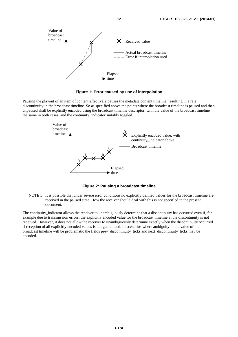

**Figure 1: Error caused by use of interpolation** 

Pausing the playout of an item of content effectively pauses the metadata content timeline, resulting in a rate discontinuity in the broadcast timeline. So as specified above the points where the broadcast timeline is paused and then unpaused shall be explicitly encoded using the broadcast timeline descriptor, with the value of the broadcast timeline the same in both cases, and the continuity\_indicator suitably toggled.



**Figure 2: Pausing a broadcast timeline** 

NOTE 5: It is possible that under severe error conditions no explicitly defined values for the broadcast timeline are received in the paused state. How the receiver should deal with this is not specified in the present document.

The continuity\_indicator allows the receiver to unambiguously determine that a discontinuity has occurred even if, for example due to transmission errors, the explicitly encoded value for the broadcast timeline at the discontinuity is not received. However, it does not allow the receiver to unambiguously determine exactly when the discontinuity occurred if reception of all explicitly encoded values is not guaranteed. In scenarios where ambiguity in the value of the broadcast timeline will be problematic the fields prev\_discontinuity\_ticks and next\_discontinuity\_ticks may be encoded.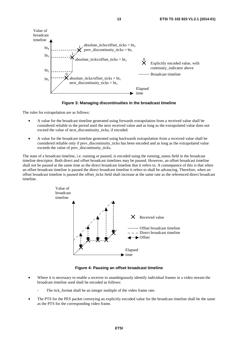

**Figure 3: Managing discontinuities in the broadcast timeline** 

The rules for extrapolation are as follows:

- A value for the broadcast timeline generated using forwards extrapolation from a received value shall be considered reliable in the period until the next received value and as long as the extrapolated value does not exceed the value of next discontinuity ticks, if encoded.
- A value for the broadcast timeline generated using backwards extrapolation from a received value shall be considered reliable only if prev\_discontinuity\_ticks has been encoded and as long as the extrapolated value exceeds the value of prev\_discontinuity\_ticks.

The state of a broadcast timeline, i.e. running or paused, is encoded using the running\_status field in the broadcast timeline descriptor. Both direct and offset broadcast timelines may be paused. However, an offset broadcast timeline shall not be paused at the same time as the direct broadcast timeline that it refers to. A consequence of this is that when an offset broadcast timeline is paused the direct broadcast timeline it refers to shall be advancing. Therefore, when an offset broadcast timeline is paused the offset\_ticks field shall increase at the same rate as the referenced direct broadcast timeline.



**Figure 4: Pausing an offset broadcast timeline** 

- Where it is necessary to enable a receiver to unambiguously identify individual frames in a video stream the broadcast timeline used shall be encoded as follows:
	- The tick format shall be an integer multiple of the video frame rate.
- The PTS for the PES packet conveying an explicitly encoded value for the broadcast timeline shall be the same as the PTS for the corresponding video frame.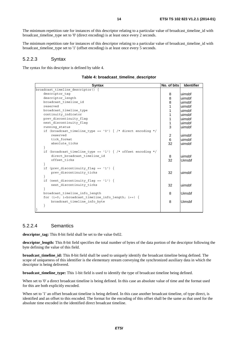The minimum repetition rate for instances of this descriptor relating to a particular value of broadcast timeline id with broadcast\_timeline\_type set to '0' (direct encoding) is at least once every 2 seconds.

The minimum repetition rate for instances of this descriptor relating to a particular value of broadcast\_timeline\_id with broadcast timeline type set to '1' (offset encoding) is at least once every 5 seconds.

#### 5.2.2.3 Syntax

The syntax for this descriptor is defined by table 4.

#### **Table 4: broadcast\_timeline\_descriptor**

| <b>Syntax</b>                                                 | No. of bits    | <b>Identifier</b> |
|---------------------------------------------------------------|----------------|-------------------|
| broadcast_timeline_descriptor() {                             |                |                   |
| descriptor tag                                                | 8              | uimsbf            |
| descriptor length                                             | 8              | uimsbf            |
| broadcast timeline id                                         | 8              | uimsbf            |
| reserved                                                      | 1              | uimsbf            |
| broadcast timeline type                                       | 1              | uimsbf            |
| continuity indicator                                          | 1              | uimsbf            |
| prev discontinuity flag                                       | 1              | uimsbf            |
| next discontinuity flag                                       | 1              | uimsbf            |
| running status                                                | 3              | uimsbf            |
| if (broadcast_timeline_type == '0') { /* direct encoding */   |                |                   |
| reserved                                                      | $\overline{c}$ | uimsbf            |
| tick format                                                   | $6\phantom{a}$ | uimsbf            |
| absolute ticks                                                | 32             | uimsbf            |
|                                                               |                |                   |
| if (broadcast timeline type == '1') { /* offset encoding */   |                |                   |
| direct broadcast timeline id                                  | 8              | uimsbf            |
| offset ticks                                                  | 32             | Uimsbf            |
|                                                               |                |                   |
| if (prev discontinuity flaq == '1') {                         |                |                   |
| prev discontinuity ticks                                      | 32             | uimsbf            |
|                                                               |                |                   |
| if (next discontinuity flag == '1') {                         |                |                   |
| next discontinuity ticks                                      | 32             | uimsbf            |
|                                                               |                |                   |
| broadcast timeline info length                                | 8              | <b>Uimsbf</b>     |
| for $(i=0; i0)$ is independent timeline infollength; $i++)$ { |                |                   |
| broadcast timeline info byte                                  | 8              | Uimsbf            |
|                                                               |                |                   |
|                                                               |                |                   |

#### 5.2.2.4 Semantics

**descriptor** tag: This 8-bit field shall be set to the value 0x02.

**descriptor\_length:** This 8-bit field specifies the total number of bytes of the data portion of the descriptor following the byte defining the value of this field.

**broadcast\_timeline\_id:** This 8-bit field shall be used to uniquely identify the broadcast timeline being defined. The scope of uniqueness of this identifier is the elementary stream conveying the synchronized auxiliary data in which the descriptor is being delivered.

**broadcast\_timeline\_type:** This 1-bit field is used to identify the type of broadcast timeline being defined.

When set to '0' a direct broadcast timeline is being defined. In this case an absolute value of time and the format used for this are both explicitly encoded.

When set to '1' an offset broadcast timeline is being defined. In this case another broadcast timeline, of type direct, is identified and an offset to this encoded. The format for the encoding of this offset shall be the same as that used for the absolute time encoded in the identified direct broadcast timeline.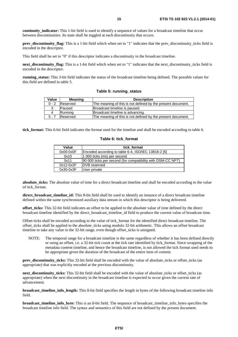**continuity indicator:** This 1-bit field is used to identify a sequence of values for a broadcast timeline that occur between discontinuities. Its state shall be toggled at each discontinuity that occurs.

**prev\_discontinuity\_flag:** This is a 1-bit field which when set to "1" indicates that the prev\_discontinuity\_ticks field is encoded in the descriptor.

This field shall be set to "0" if this descriptor indicates a discontinuity in the broadcast timeline.

**next\_discontinuity\_flag:** This is a 1-bit field which when set to "1" indicates that the next\_discontinuity\_ticks field is encoded in the descriptor.

**running** status: This 3-bit field indicates the status of the broadcast timeline being defined. The possible values for this field are defined in table 5.

#### **Table 5: running\_status**

| Value   | Meaning         | <b>Description</b>                                          |
|---------|-----------------|-------------------------------------------------------------|
| $0 - 2$ | <b>Reserved</b> | The meaning of this is not defined by the present document. |
| 3       | <b>Paused</b>   | Broadcast timeline is paused.                               |
| 4       | Running         | Broadcast timeline is advancing.                            |
| $5 - 7$ | Reserved        | The meaning of this is not defined by the present document. |

**tick\_format:** This 6-bit field indicates the format used for the timeline and shall be encoded according to table 6.

#### **Table 6: tick\_format**

| Value       | tick format                                                 |
|-------------|-------------------------------------------------------------|
| $0x00-0x0F$ | Encoded according to table 6-4, ISO/IEC 13818-2 [6]         |
| 0x10        | 1 000 ticks (ms) per second                                 |
| 0x11        | 90 000 ticks per second (for compatibility with DSM-CC NPT) |
| $0x12-0x2F$ | <b>DVB</b> reserved                                         |
| 0x30-0x3F   | User private                                                |

**absolute ticks:** The absolute value of time for a direct broadcast timeline and shall be encoded according to the value of tick\_format.

**direct broadcast timeline id:** This 8-bit field shall be used to identify an instance of a direct broadcast timeline defined within the same synchronized auxiliary data stream in which this descriptor is being delivered.

**offset\_ticks:** This 32-bit field indicates an offset to be applied to the absolute value of time defined by the direct broadcast timeline identified by the direct\_broadcast\_timeline\_id field to produce the current value of broadcast time.

Offset ticks shall be encoded according to the value of tick\_format for the identified direct broadcast timeline. The offset\_ticks shall be applied to the absolute\_ticks using modulo 32-bit arithmetic. This allows an offset broadcast timeline to take any value in the 32-bit range, even though offset ticks is unsigned.

NOTE: The temporal range for a broadcast timeline is the same regardless of whether it has been defined directly or using an offset, i.e. a 32-bit tick count at the tick rate identified by tick\_format. Since wrapping of the metadata content timeline, and hence the broadcast timeline, is not allowed the tick format used needs to be appropriate given the duration of the broadcast of the entire item of content.

**prev\_discontinuity\_ticks:** This 32-bit field shall be encoded with the value of absolute\_ticks or offset\_ticks (as appropriate) that was explicitly encoded at the previous discontinuity.

**next\_discontinuity\_ticks:** This 32-bit field shall be encoded with the value of absolute\_ticks or offset\_ticks (as appropriate) when the next discontinuity in the broadcast timeline is expected to occur given the current rate of advancement.

**broadcast timeline info length:** This 8-bit field specifies the length in bytes of the following broadcast timeline info field.

**broadcast timeline info byte:** This is an 8-bit field. The sequence of broadcast timeline info bytes specifies the broadcast timeline info field. The syntax and semantics of this field are not defined by the present document.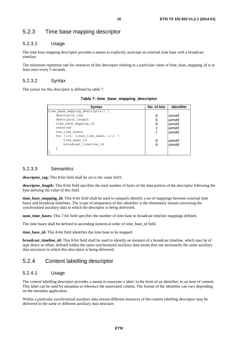### 5.2.3 Time base mapping descriptor

#### 5.2.3.1 Usage

The time base mapping descriptor provides a means to explicitly associate an external time base with a broadcast timeline.

The minimum repetition rate for instances of this descriptor relating to a particular value of time base mapping id is at least once every 5 seconds.

#### 5.2.3.2 Syntax

The syntax for this descriptor is defined by table 7.

| Syntax                               | No. of bits | <b>Identifier</b> |
|--------------------------------------|-------------|-------------------|
| time base mapping descriptor()       |             |                   |
| descriptor tag                       | 8           | uimsbf            |
| descriptor length                    | 8           | uimsbf            |
| time base mapping id                 | 8           | uimsbf            |
| reserved                             |             | uimsbf            |
| num time bases                       |             | uimsbf            |
| for $(i=0; imax$ time base; $i++)$ { |             |                   |
| time base id                         | 8           | uimsbf            |
| broadcast timeline id                | 8           | uimsbf            |
|                                      |             |                   |
|                                      |             |                   |

**Table 7: time\_base\_mapping\_descriptor** 

#### 5.2.3.3 Semantics

**descriptor\_tag:** This 8-bit field shall be set to the value 0x03.

**descriptor\_length:** This 8-bit field specifies the total number of bytes of the data portion of the descriptor following the byte defining the value of this field.

**time\_base\_mapping\_id:** This 8-bit field shall be used to uniquely identify a set of mappings between external time bases and broadcast timelines. The scope of uniqueness of this identifier is the elementary stream conveying the synchronized auxiliary data in which the descriptor is being delivered.

**num time bases:** This 7-bit field specifies the number of time base to broadcast timeline mappings defined.

The time bases shall be defined in ascending numerical order of time\_base\_id field.

**time\_base\_id:** This 8-bit field identifies the time base to be mapped.

**broadcast timeline id:** This 8-bit field shall be used to identify an instance of a broadcast timeline, which may be of type direct or offset, defined within the same synchronized auxiliary data steam (but not necessarily the same auxiliary data structure) in which this descriptor is being delivered.

### 5.2.4 Content labelling descriptor

#### 5.2.4.1 Usage

The content labelling descriptor provides a means to associate a label, in the form of an identifier, to an item of content. This label can be used by metadata to reference the associated content. The format of the identifier can vary depending on the metadata application.

Within a particular synchronized auxiliary data stream different instances of the content labelling descriptor may be delivered in the same or different auxiliary data structure.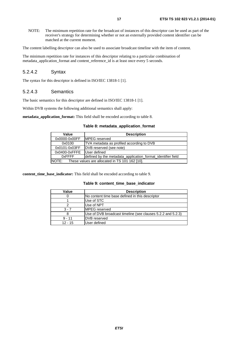NOTE: The minimum repetition rate for the broadcast of instances of this descriptor can be used as part of the receiver's strategy for determining whether or not an externally provided content identifier can be matched at the current moment.

The content labelling descriptor can also be used to associate broadcast timeline with the item of content.

The minimum repetition rate for instances of this descriptor relating to a particular combination of metadata application format and content reference id is at least once every 5 seconds.

#### 5.2.4.2 Syntax

The syntax for this descriptor is defined in ISO/IEC 13818-1 [1].

#### 5.2.4.3 Semantics

The basic semantics for this descriptor are defined in ISO/IEC 13818-1 [1].

Within DVB systems the following additional semantics shall apply:

**metadata** application format: This field shall be encoded according to table 8.

#### **Table 8: metadata\_application\_format**

| Value         | <b>Description</b>                                          |
|---------------|-------------------------------------------------------------|
| 0x0000-0x00FF | MPEG reserved                                               |
| 0x0100        | TVA metadata as profiled according to DVB                   |
| 0x0101-0x03FF | DVB reserved (see note)                                     |
| 0x0400-0xFFFE | User defined                                                |
| 0xFFFF        | defined by the metadata_application_format_identifier field |
| INOTE:        | These values are allocated in TS 101 162 [10].              |

**content\_time\_base\_indicator:** This field shall be encoded according to table 9.

#### **Table 9: content\_time\_base\_indicator**

| Value     | <b>Description</b>                                          |
|-----------|-------------------------------------------------------------|
|           | No content time base defined in this descriptor             |
|           | Use of STC                                                  |
|           | Use of NPT                                                  |
| $3 - 7$   | <b>IMPEG</b> reserved                                       |
|           | Use of DVB broadcast timeline (see clauses 5.2.2 and 5.2.3) |
| $9 - 11$  | <b>IDVB</b> reserved                                        |
| $12 - 15$ | User defined                                                |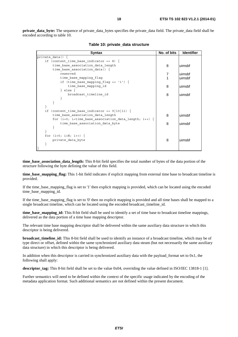**private data byte:** The sequence of private data bytes specifies the private data field. The private data field shall be encoded according to table 10.

| <b>Syntax</b>                                                                                             | No. of bits | <b>Identifier</b> |
|-----------------------------------------------------------------------------------------------------------|-------------|-------------------|
| private data()                                                                                            |             |                   |
| if (content time base indicator == 8) {                                                                   |             |                   |
| time base association data length                                                                         | 8           | uimsbf            |
| time base association data() $\{$                                                                         |             |                   |
| reserved                                                                                                  |             | uimsbf            |
| time base mapping flag                                                                                    |             | uimsbf            |
| if (time base mapping flag == '1') {                                                                      |             |                   |
| time base mapping id                                                                                      | 8           | uimsbf            |
| $\}$ else $\{$                                                                                            |             |                   |
| broadcast timeline id                                                                                     | 8           | uimsbf            |
|                                                                                                           |             |                   |
|                                                                                                           |             |                   |
|                                                                                                           |             |                   |
| (content time base indicator == $9 10 11$ ) {<br>if                                                       |             |                   |
| time base association data length                                                                         | 8           | uimsbf            |
| for (i=0; i <time association="" base="" data="" i++)="" length;="" td="" {<=""><td></td><td></td></time> |             |                   |
| time base association data byte                                                                           | 8           | uimsbf            |
|                                                                                                           |             |                   |
|                                                                                                           |             |                   |
| for $(i=0; i {$                                                                                           |             |                   |
| private data byte                                                                                         | 8           | uimsbf            |
|                                                                                                           |             |                   |
|                                                                                                           |             |                   |

**Table 10: private\_data structure** 

**time\_base\_association\_data\_length:** This 8-bit field specifies the total number of bytes of the data portion of the structure following the byte defining the value of this field.

**time base mapping flag:** This 1-bit field indicates if explicit mapping from external time base to broadcast timeline is provided.

If the time\_base\_mapping\_flag is set to '1' then explicit mapping is provided, which can be located using the encoded time\_base\_mapping\_id.

If the time base mapping flag is set to '0' then no explicit mapping is provided and all time bases shall be mapped to a single broadcast timeline, which can be located using the encoded broadcast timeline id.

**time\_base\_mapping\_id:** This 8-bit field shall be used to identify a set of time base to broadcast timeline mappings, delivered as the data portion of a time base mapping descriptor.

The relevant time base mapping descriptor shall be delivered within the same auxiliary data structure in which this descriptor is being delivered.

**broadcast\_timeline\_id:** This 8-bit field shall be used to identify an instance of a broadcast timeline, which may be of type direct or offset, defined within the same synchronized auxiliary data steam (but not necessarily the same auxiliary data structure) in which this descriptor is being delivered.

In addition when this descriptor is carried in synchronized auxiliary data with the payload format set to  $0x1$ , the following shall apply:

**descriptor\_tag:** This 8-bit field shall be set to the value 0x04, overriding the value defined in ISO/IEC 13818-1 [1].

Further semantics will need to be defined within the context of the specific usage indicated by the encoding of the metadata application format. Such additional semantics are not defined within the present document.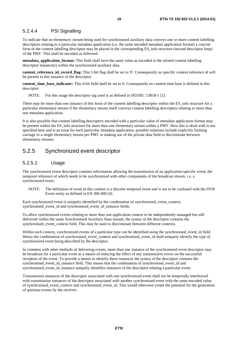#### 5.2.4.4 PSI Signalling

To indicate that an elementary stream being used for synchronized auxiliary data conveys one or more content labelling descriptors relating to a particular metadata application (i.e. the same encoded metadata application format) a concise form of the content labelling descriptor may be placed in the corresponding ES\_info structure (second descriptor loop) of the PMT. This shall be encoded as followed:

**metadata application format:** This field shall have the same value as encoded in the related content labelling descriptor instance(s) within the synchronized auxiliary data.

**content\_reference\_id\_record\_flag:** This 1-bit flag shall be set to '0'. Consequently no specific content reference id will be present in this instance of the descriptor.

**content\_time\_base\_indicator:** This 4-bit field shall be set to 0. Consequently no content time base is defined in this descriptor.

NOTE: For this usage the descriptor tag used is as defined in ISO/IEC 13818-1 [1].

There may be more than one instance of this form of the content labelling descriptor within the ES\_info structure for a particular elementary stream if the elementary stream itself conveys content labelling descriptors relating to more than one metadata application.

It is also possible that content labelling descriptors encoded with a particular value of metadata application format may be present within the ES info structure for more than one elementary stream within a PMT. How this is dealt with is not specified here and is an issue for each particular metadata application: possible solutions include explicitly limiting carriage to a single elementary stream per PMT or making use of the private data field to discriminate between elementary streams.

### 5.2.5 Synchronized event descriptor

#### 5.2.5.1 Usage

The synchronized event descriptor contains information allowing the transmission of an application-specific event, the temporal reference of which needs to be synchronized with other components of the broadcast stream, i.e. a synchronized event.

NOTE: The definition of event in this context is a discrete temporal event and is not to be confused with the DVB Event entity as defined in EN 300 468 [4].

Each synchronized event is uniquely identified by the combination of synchronised\_event\_context, synchronised event id and synchronised event id instance fields.

To allow synchronized events relating to more than one application context to be independently managed but still delivered within the same Synchronized Auxiliary Data stream, the syntax of the descriptor contains the synchronised event context field. This may be used to discriminate between different contexts.

Within each context, synchronized events of a particular type can be identified using the synchronised\_event\_id field. Hence the combination of synchronised\_event\_context and synchronised\_event\_id shall uniquely identify the type of synchronized event being described by the descriptor.

In common with other methods of delivering events, more than one instance of the synchronized event descriptor may be broadcast for a particular event as a means of reducing the effect of any transmission errors on the successful reception of the event. To provide a means to identify these instances the syntax of the descriptor contains the synchronised\_event\_id\_instance field. This means that the combination of synchronised\_event\_id and synchronised\_event\_id\_instance uniquely identifies instances of the descriptor relating a particular event.

Transmission instances of the descriptor associated with one synchronized event shall not be temporally interleaved with transmission instances of the descriptor associated with another synchronized event with the same encoded value of synchronised\_event\_context and synchronised\_event\_id. This would otherwise create the potential for the generation of spurious events by the receiver.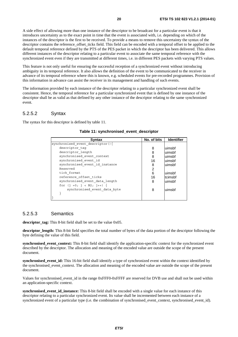A side effect of allowing more than one instance of the descriptor to be broadcast for a particular event is that it introduces uncertainty as to the exact point in time that the event is associated with, i.e. depending on which of the instances of the descriptor is the first to be received. To provide a means to remove this uncertainty the syntax of the descriptor contains the reference\_offset\_ticks field. This field can be encoded with a temporal offset to be applied to the default temporal reference defined by the PTS of the PES packet in which the descriptor has been delivered. This allows different instances of the descriptor relating to a particular event to associate the same temporal reference with the synchronized event even if they are transmitted at different times, i.e. in different PES packets with varying PTS values.

This feature is not only useful for ensuring the successful reception of a synchronized event without introducing ambiguity in its temporal reference. It also allows the definition of the event to be communicated to the receiver in advance of its temporal reference where this is known, e.g. scheduled events for pre-recorded programmes. Provision of this information in advance can assist the receiver in its management and handling of such events.

The information provided by each instance of the descriptor relating to a particular synchronized event shall be consistent. Hence, the temporal reference for a particular synchronized event that is defined by one instance of the descriptor shall be as valid as that defined by any other instance of the descriptor relating to the same synchronized event.

#### 5.2.5.2 Syntax

The syntax for this descriptor is defined by table 11.

| <b>Syntax</b>                    | No. of bits | <b>Identifier</b> |
|----------------------------------|-------------|-------------------|
| synchronised event descriptor(){ |             |                   |
| descriptor tag                   | 8           | luimsbf           |
| descriptor length                | 8           | uimsbf            |
| synchronised event context       | 8           | uimsbf            |
| synchronised event id            | 16          | uimsbf            |
| synchronised event id instance   | 8           | uimsbf            |
| Reserved                         | 2           |                   |
| tick format                      | 6           | uimsbf            |
| reference offset ticks           | 16          | tcimsbf           |
| synchronised event data length   | 8           | uimsbf            |
| for $(i = 0; j < N2; j++)$       |             |                   |
| synchronised event data byte     | 8           | uimsbf            |
|                                  |             |                   |
|                                  |             |                   |

#### **Table 11: synchronised\_event\_descriptor**

#### 5.2.5.3 Semantics

**descriptor\_tag:** This 8-bit field shall be set to the value 0x05.

**descriptor\_length:** This 8-bit field specifies the total number of bytes of the data portion of the descriptor following the byte defining the value of this field.

**synchronised** event context: This 8-bit field shall identify the application-specific context for the synchronized event described by the descriptor. The allocation and meaning of the encoded value are outside the scope of the present document.

**synchronised** event id: This 16-bit field shall identify a type of synchronized event within the context identified by the synchronised event context. The allocation and meaning of the encoded value are outside the scope of the present document.

Values for synchronised event id in the range 0xFFF0-0xFFFF are reserved for DVB use and shall not be used within an application-specific context.

**synchronised\_event\_id\_instance:** This 8-bit field shall be encoded with a single value for each instance of this descriptor relating to a particular synchronized event. Its value shall be incremented between each instance of a synchronized event of a particular type (i.e. the combination of synchronised\_event\_context, synchronised\_event\_id).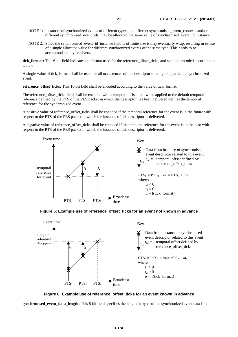- NOTE 1: Instances of synchronized events of different types, i.e. different synchronised event contexts and/or different synchronised\_event\_ids, may be allocated the same value of synchronised\_event\_id\_instance.
- NOTE 2: Since the synchronised\_event\_id\_instance field is of finite size it may eventually wrap, resulting in re-use of a single allocated value for different synchronized events of the same type. This needs to be accommodated by receivers.

**tick format:** This 6-bit field indicates the format used for the reference offset ticks, and shall be encoded according to table 6.

A single value of tick format shall be used for all occurrences of this descriptor relating to a particular synchronized event.

**reference** offset ticks: This 16-bit field shall be encoded according to the value of tick format.

The reference offset ticks field shall be encoded with a temporal offset that when applied to the default temporal reference defined by the PTS of the PES packet in which the descriptor has been delivered defines the temporal reference for the synchronized event.

A positive value of reference offset ticks shall be encoded if the temporal reference for the event is in the future with respect to the PTS of the PES packet in which the instance of this descriptor is delivered.

A negative value of reference offset ticks shall be encoded if the temporal reference for the event is in the past with respect to the PTS of the PES packet in which the instance of this descriptor is delivered.







**Figure 6: Example use of reference\_offset\_ticks for an event known in advance** 

**synchronised\_event\_data\_length:** This 8-bit field specifies the length in bytes of the synchronized event data field.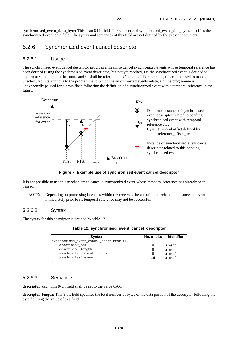**synchronised** event data byte: This is an 8-bit field. The sequence of synchronised event data bytes specifies the synchronized event data field. The syntax and semantics of this field are not defined by the present document.

### 5.2.6 Synchronized event cancel descriptor

#### 5.2.6.1 Usage

The synchronized event cancel descriptor provides a means to cancel synchronized events whose temporal reference has been defined (using the synchronized event descriptor) but not yet reached, i.e. the synchronized event is defined to happen at some point in the future and so shall be referred to as "pending". For example, this can be used to manage unscheduled interruptions to the programme to which the synchronized events relate, e.g. the programme is unexpectedly paused for a news flash following the definition of a synchronized event with a temporal reference in the future.



**Figure 7: Example use of synchronized event cancel descriptor** 

It is not possible to use this mechanism to cancel a synchronized event whose temporal reference has already been passed.

NOTE: Depending on processing latencies within the receiver, the use of this mechanism to cancel an event immediately prior to its temporal reference may not be successful.

#### 5.2.6.2 Syntax

The syntax for this descriptor is defined by table 12.

| <b>Syntax</b>                           | No. of bits | <b>Identifier</b> |
|-----------------------------------------|-------------|-------------------|
| synchronised event cancel descriptor(){ |             |                   |
| descriptor taq                          | 8           | uimsbf            |
| descriptor length                       | 8           | uimsbf            |
| synchronised event context              | 8           | uimsbf            |
| synchronised event id                   | 16          | uimsbf            |
|                                         |             |                   |

| Table 12: synchronised_event_cancel_descriptor |  |  |  |
|------------------------------------------------|--|--|--|
|------------------------------------------------|--|--|--|

#### 5.2.6.3 Semantics

**descriptor** tag: This 8-bit field shall be set to the value 0x06.

**descriptor\_length:** This 8-bit field specifies the total number of bytes of the data portion of the descriptor following the byte defining the value of this field.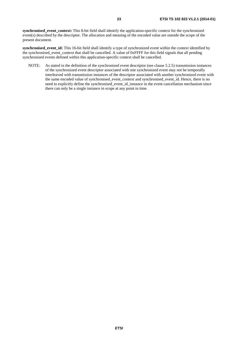**synchronised** event context: This 8-bit field shall identify the application-specific context for the synchronized event(s) described by the descriptor. The allocation and meaning of the encoded value are outside the scope of the present document.

**synchronised** event id: This 16-bit field shall identify a type of synchronized event within the context identified by the synchronised event context that shall be cancelled. A value of 0xFFFF for this field signals that all pending synchronized events defined within this application-specific context shall be cancelled.

NOTE: As stated in the definition of the synchronized event descriptor (see clause 5.2.5) transmission instances of the synchronized event descriptor associated with one synchronized event may not be temporally interleaved with transmission instances of the descriptor associated with another synchronized event with the same encoded value of synchronised\_event\_context and synchronised\_event\_id. Hence, there is no need to explicitly define the synchronised\_event\_id\_instance in the event cancellation mechanism since there can only be a single instance in scope at any point in time.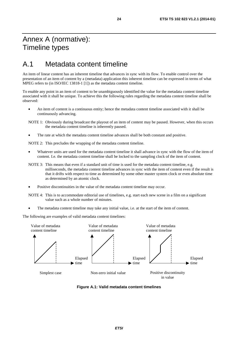# Annex A (normative): Timeline types

### A.1 Metadata content timeline

An item of linear content has an inherent timeline that advances in sync with its flow. To enable control over the presentation of an item of content by a (metadata) application this inherent timeline can be expressed in terms of what MPEG refers to (in ISO/IEC 13818-1 [1]) as the metadata content timeline.

To enable any point in an item of content to be unambiguously identified the value for the metadata content timeline associated with it shall be unique. To achieve this the following rules regarding the metadata content timeline shall be observed:

- An item of content is a continuous entity; hence the metadata content timeline associated with it shall be continuously advancing.
- NOTE 1: Obviously during broadcast the playout of an item of content may be paused. However, when this occurs the metadata content timeline is inherently paused.
- The rate at which the metadata content timeline advances shall be both constant and positive.

NOTE 2: This precludes the wrapping of the metadata content timeline.

- Whatever units are used for the metadata content timeline it shall advance in sync with the flow of the item of content. I.e. the metadata content timeline shall be locked to the sampling clock of the item of content.
- NOTE 3: This means that even if a standard unit of time is used for the metadata content timeline, e.g. milliseconds, the metadata content timeline advances in sync with the item of content even if the result is that it drifts with respect to time as determined by some other master system clock or even absolute time as determined by an atomic clock.
- Positive discontinuities in the value of the metadata content timeline may occur.
- NOTE 4: This is to accommodate editorial use of timelines, e.g. start each new scene in a film on a significant value such as a whole number of minutes.
- The metadata content timeline may take any initial value, i.e. at the start of the item of content.

The following are examples of valid metadata content timelines:



**Figure A.1: Valid metadata content timelines**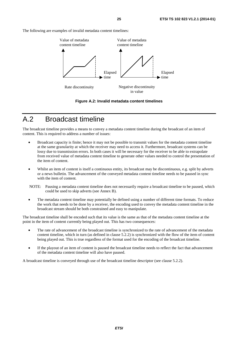The following are examples of invalid metadata content timelines:



**Figure A.2: Invalid metadata content timelines** 

# A.2 Broadcast timeline

The broadcast timeline provides a means to convey a metadata content timeline during the broadcast of an item of content. This is required to address a number of issues:

- Broadcast capacity is finite; hence it may not be possible to transmit values for the metadata content timeline at the same granularity at which the receiver may need to access it. Furthermore, broadcast systems can be lossy due to transmission errors. In both cases it will be necessary for the receiver to be able to extrapolate from received value of metadata content timeline to generate other values needed to control the presentation of the item of content.
- Whilst an item of content is itself a continuous entity, its broadcast may be discontinuous, e.g. split by adverts or a news bulletin. The advancement of the conveyed metadata content timeline needs to be paused in sync with the item of content.
- NOTE: Pausing a metadata content timeline does not necessarily require a broadcast timeline to be paused, which could be used to skip adverts (see Annex B).
- The metadata content timeline may potentially be defined using a number of different time formats. To reduce the work that needs to be done by a receiver, the encoding used to convey the metadata content timeline in the broadcast stream should be both constrained and easy to manipulate.

The broadcast timeline shall be encoded such that its value is the same as that of the metadata content timeline at the point in the item of content currently being played out. This has two consequences:

- The rate of advancement of the broadcast timeline is synchronized to the rate of advancement of the metadata content timeline, which in turn (as defined in clause 5.2.2) is synchronized with the flow of the item of content being played out. This is true regardless of the format used for the encoding of the broadcast timeline.
- If the playout of an item of content is paused the broadcast timeline needs to reflect the fact that advancement of the metadata content timeline will also have paused.

A broadcast timeline is conveyed through use of the broadcast timeline descriptor (see clause 5.2.2).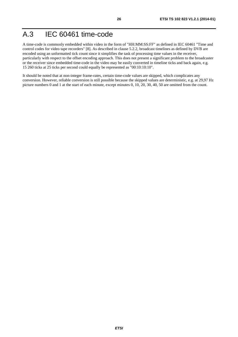# A.3 IEC 60461 time-code

A time-code is commonly embedded within video in the form of "HH:MM:SS:FF" as defined in IEC 60461 "Time and control codes for video tape recorders" [8]. As described in clause 5.2.2, broadcast timelines as defined by DVB are encoded using an unformatted tick count since it simplifies the task of processing time values in the receiver, particularly with respect to the offset encoding approach. This does not present a significant problem to the broadcaster or the receiver since embedded time-code in the video may be easily converted in timeline ticks and back again, e.g. 15 260 ticks at 25 ticks per second could equally be represented as "00:10:10:10".

It should be noted that at non-integer frame-rates, certain time-code values are skipped, which complicates any conversion. However, reliable conversion is still possible because the skipped values are deterministic, e.g. at 29,97 Hz picture numbers 0 and 1 at the start of each minute, except minutes 0, 10, 20, 30, 40, 50 are omitted from the count.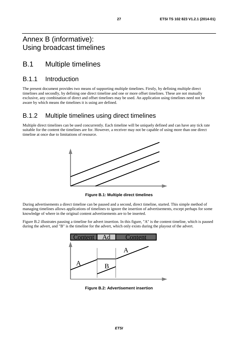## Annex B (informative): Using broadcast timelines

# B.1 Multiple timelines

### B.1.1 Introduction

The present document provides two means of supporting multiple timelines. Firstly, by defining multiple direct timelines and secondly, by defining one direct timeline and one or more offset timelines. These are not mutually exclusive, any combination of direct and offset timelines may be used. An application using timelines need not be aware by which means the timelines it is using are defined.

### B.1.2 Multiple timelines using direct timelines

Multiple direct timelines can be used concurrently. Each timeline will be uniquely defined and can have any tick rate suitable for the content the timelines are for. However, a receiver may not be capable of using more than one direct timeline at once due to limitations of resource.



**Figure B.1: Multiple direct timelines** 

During advertisements a direct timeline can be paused and a second, direct timeline, started. This simple method of managing timelines allows applications of timelines to ignore the insertion of advertisements, except perhaps for some knowledge of where in the original content advertisements are to be inserted.

Figure B.2 illustrates pausing a timeline for advert insertion. In this figure, "A" is the content timeline, which is paused during the advert, and "B" is the timeline for the advert, which only exists during the playout of the advert.



**Figure B.2: Advertisement insertion**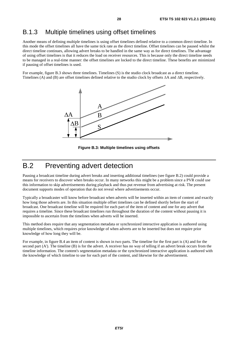### B.1.3 Multiple timelines using offset timelines

Another means of defining multiple timelines is using offset timelines defined relative to a common direct timeline. In this mode the offset timelines all have the same tick rate as the direct timeline. Offset timelines can be paused whilst the direct timeline continues, allowing advert breaks to be handled in the same way as for direct timelines. The advantage of using offset timelines is that it reduces the load on receiver resources. This is because only the direct timeline needs to be managed in a real-time manner: the offset timelines are locked to the direct timeline. These benefits are minimized if pausing of offset timelines is used.

For example, figure B.3 shows three timelines. Timelines (S) is the studio clock broadcast as a direct timeline. Timelines (A) and (B) are offset timelines defined relative to the studio clock by offsets ∆A and ∆B, respectively.



**Figure B.3: Multiple timelines using offsets** 

# B.2 Preventing advert detection

Pausing a broadcast timeline during advert breaks and inserting additional timelines (see figure B.2) could provide a means for receivers to discover when breaks occur. In many networks this might be a problem since a PVR could use this information to skip advertisements during playback and thus put revenue from advertising at risk. The present document supports modes of operation that do not reveal where advertisements occur.

Typically a broadcaster will know before broadcast when adverts will be inserted within an item of content and exactly how long those adverts are. In this situation multiple offset timelines can be defined shortly before the start of broadcast. One broadcast timeline will be required for each part of the item of content and one for any advert that requires a timeline. Since these broadcast timelines run throughout the duration of the content without pausing it is impossible to ascertain from the timelines when adverts will be inserted.

This method does require that any segmentation metadata or synchronized interactive application is authored using multiple timelines, which requires prior knowledge of when adverts are to be inserted but does not require prior knowledge of how long they will be.

For example, in figure B.4 an item of content is shown in two parts. The timeline for the first part is (A) and for the second part (A'). The timeline (B) is for the advert. A receiver has no way of telling if an advert break occurs from the timeline information. The content's segmentation metadata or the synchronized interactive application is authored with the knowledge of which timeline to use for each part of the content, and likewise for the advertisement.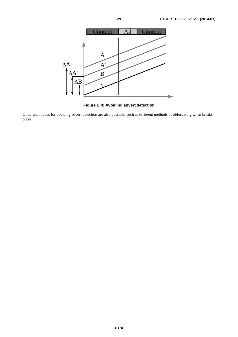

**Figure B.4: Avoiding advert detection** 

Other techniques for avoiding advert detection are also possible, such as different methods of obfuscating when breaks occur.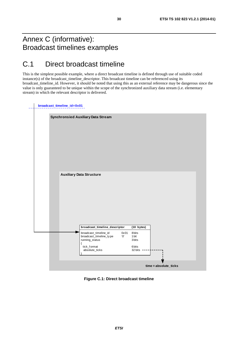# Annex C (informative): Broadcast timelines examples

# C.1 Direct broadcast timeline

This is the simplest possible example, where a direct broadcast timeline is defined through use of suitable coded instance(s) of the broadcast\_timeline\_descriptor. This broadcast timeline can be referenced using its broadcast\_timeline\_id. However, it should be noted that using this as an external reference may be dangerous since the value is only guaranteed to be unique within the scope of the synchronized auxiliary data stream (i.e. elementary stream) in which the relevant descriptor is delivered.

|  | Synchronsied Auxiliary Data Stream |            |  |
|--|------------------------------------|------------|--|
|  |                                    |            |  |
|  | <b>Auxiliary Data Structure</b>    |            |  |
|  |                                    |            |  |
|  | broadcast_timeline_descriptor      | (10 bytes) |  |

**Figure C.1: Direct broadcast timeline**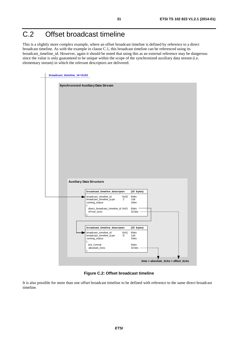# C.2 Offset broadcast timeline

This is a slightly more complex example, where an offset broadcast timeline is defined by reference to a direct broadcast timeline. As with the example in clause C.1, this broadcast timeline can be referenced using its broadcast\_timeline\_id. However, again it should be noted that using this as an external reference may be dangerous since the value is only guaranteed to be unique within the scope of the synchronized auxiliary data stream (i.e. elementary stream) in which the relevant descriptors are delivered.

|  | broadcast_timeline_id=0x02 |                                                                    |                        |                               |                                      |  |
|--|----------------------------|--------------------------------------------------------------------|------------------------|-------------------------------|--------------------------------------|--|
|  |                            | Synchronsied Auxiliary Data Stream                                 |                        |                               |                                      |  |
|  |                            |                                                                    |                        |                               |                                      |  |
|  |                            |                                                                    |                        |                               |                                      |  |
|  |                            |                                                                    |                        |                               |                                      |  |
|  |                            |                                                                    |                        |                               |                                      |  |
|  |                            |                                                                    |                        |                               |                                      |  |
|  |                            |                                                                    |                        |                               |                                      |  |
|  |                            |                                                                    |                        |                               |                                      |  |
|  |                            |                                                                    |                        |                               |                                      |  |
|  |                            |                                                                    |                        |                               |                                      |  |
|  |                            |                                                                    |                        |                               |                                      |  |
|  |                            |                                                                    |                        |                               |                                      |  |
|  |                            |                                                                    |                        |                               |                                      |  |
|  |                            | <b>Auxiliary Data Structure</b>                                    |                        |                               |                                      |  |
|  |                            | broadcast_timeline_descriptor                                      |                        | (10 bytes)                    |                                      |  |
|  |                            | broadcast_timeline_id<br>broadcast_timeline_type<br>running_status | 0x02<br>$^{\prime}$ 1' | 8 bits<br>1 bit<br>3bits      |                                      |  |
|  |                            | ₹<br>direct_broadcast_timeline_id 0x01<br>offset_ticks             |                        | 8bits<br>$32 \text{ bits } -$ |                                      |  |
|  |                            |                                                                    |                        |                               |                                      |  |
|  |                            |                                                                    |                        |                               |                                      |  |
|  |                            | broadcast_timeline_descriptor                                      |                        | (10 bytes)                    |                                      |  |
|  |                            | broadcast_timeline_id<br>broadcast_timeline_type<br>running_status | 0x01<br>'Ο'            | 8 bits<br>1 bit<br>3bits      |                                      |  |
|  |                            | ₹<br>tick_format<br>absolute_ticks                                 |                        | 6bits<br>32 bits $---$        |                                      |  |
|  |                            |                                                                    |                        |                               | time = absolute_ticks + offset_ticks |  |

**Figure C.2: Offset broadcast timeline** 

It is also possible for more than one offset broadcast timeline to be defined with reference to the same direct broadcast timeline.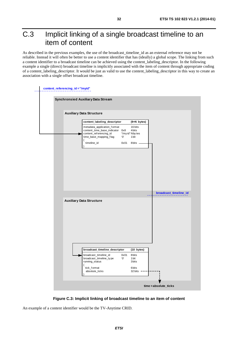# C.3 Implicit linking of a single broadcast timeline to an item of content

As described in the previous examples, the use of the broadcast\_timeline\_id as an external reference may not be reliable. Instead it will often be better to use a content identifier that has (ideally) a global scope. The linking from such a content identifier to a broadcast timeline can be achieved using the content\_labeling\_descriptor. In the following example a single (direct) broadcast timeline is implicitly associated with the item of content through appropriate coding of a content\_labeling\_descriptor. It would be just as valid to use the content\_labeling\_descriptor in this way to create an association with a single offset broadcast timeline.



**Figure C.3: Implicit linking of broadcast timeline to an item of content** 

An example of a content identifier would be the TV-Anytime CRID.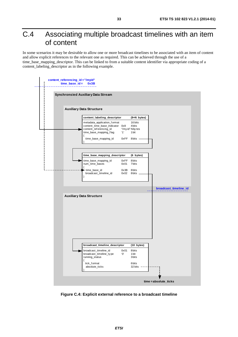# C.4 Associating multiple broadcast timelines with an item of content

In some scenarios it may be desirable to allow one or more broadcast timelines to be associated with an item of content and allow explicit references to the relevant one as required. This can be achieved through the use of a time\_base\_mapping\_descriptor. This can be linked to from a suitable content identifier via appropriate coding of a content\_labeling\_descriptor as in the following example.



**Figure C.4: Explicit external reference to a broadcast timeline**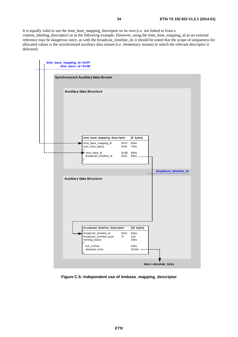It is equally valid to use the time\_base\_mapping\_descriptor on its own (i.e. not linked to from a content\_labeling\_descriptor) as in the following example. However, using the time\_base\_mapping\_id as an external reference may be dangerous since, as with the broadcast\_timeline\_id, it should be noted that the scope of uniqueness for allocated values is the synchronized auxiliary data stream (i.e. elementary stream) in which the relevant descriptor is delivered.



**Figure C.5: Independent use of timbase\_mapping\_descriptor**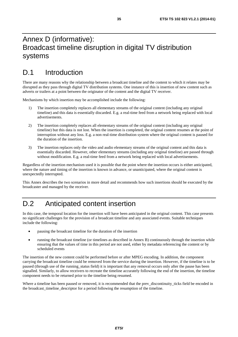# Annex D (informative): Broadcast timeline disruption in digital TV distribution systems

# D.1 Introduction

There are many reasons why the relationship between a broadcast timeline and the content to which it relates may be disrupted as they pass through digital TV distribution systems. One instance of this is insertion of new content such as adverts or trailers at a point between the originator of the content and the digital TV receiver.

Mechanisms by which insertion may be accomplished include the following:

- 1) The insertion completely replaces all elementary streams of the original content (including any original timeline) and this data is essentially discarded. E.g. a real-time feed from a network being replaced with local advertisements.
- 2) The insertion completely replaces all elementary streams of the original content (including any original timeline) but this data is not lost. When the insertion is completed, the original content resumes at the point of interruption without any loss. E.g. a non real-time distribution system where the original content is paused for the duration of the insertion.
- 3) The insertion replaces only the video and audio elementary streams of the original content and this data is essentially discarded. However, other elementary streams (including any original timeline) are passed through without modification. E.g. a real-time feed from a network being replaced with local advertisements.

Regardless of the insertion mechanism used it is possible that the point where the insertion occurs is either anticipated, where the nature and timing of the insertion is known in advance, or unanticipated, where the original content is unexpectedly interrupted.

This Annex describes the two scenarios in more detail and recommends how such insertions should be executed by the broadcaster and managed by the receiver.

# D.2 Anticipated content insertion

In this case, the temporal location for the insertion will have been anticipated in the original content. This case presents no significant challenges for the provision of a broadcast timeline and any associated events. Suitable techniques include the following:

- pausing the broadcast timeline for the duration of the insertion
- running the broadcast timeline (or timelines as described in Annex B) continuously through the insertion while ensuring that the values of time in this period are not used, either by metadata referencing the content or by scheduled events

The insertion of the new content could be performed before or after MPEG encoding. In addition, the component carrying the broadcast timeline could be removed from the service during the insertion. However, if the timeline is to be paused (through use of the running\_status field) it is important that any removal occurs only after the pause has been signalled. Similarly, to allow receivers to recreate the timeline accurately following the end of the insertion, the timeline component needs to be returned prior to the timeline being resumed.

Where a timeline has been paused or removed, it is recommended that the prev\_discontinuity\_ticks field be encoded in the broadcast timeline descriptor for a period following the resumption of the timeline.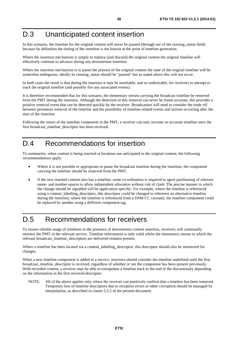# D.3 Unanticipated content insertion

In this scenario, the timeline for the original content will never be paused (through use of the running\_status field) because by definition the timing of the insertion is not known at the point of timeline generation.

Where the insertion mechanism is simply to replace (and discard) the original content the original timeline will effectively continue to advance during any downstream insertion.

Where the insertion mechanism is to pause the playout of the original content the state of the original timeline will be somewhat ambiguous: ideally its running\_status should be "paused" but as stated above this will not occur.

In both cases the result is that during the insertion it may be unreliable, and so undesirable, for receivers to attempt to track the original timeline (and possibly fire any associated events).

It is therefore recommended that for this scenario, the elementary stream carrying the broadcast timeline be removed from the PMT during the insertion. Although the detection of this removal can never be frame accurate, this provides a positive removal event that can be detected quickly by the receiver. Broadcasters will need to consider the trade off between premature removal of the timeline and the possibility of timeline related events and actions occurring after the start of the insertion

Following the return of the timeline component in the PMT, a receiver can only recreate an accurate timeline once the first broadcast timeline descriptor has been received.

# D.4 Recommendations for insertion

To summarize, when content is being inserted at locations not anticipated in the original content, the following recommendations apply:

- Where it is not possible or appropriate to pause the broadcast timeline during the insertion, the component carrying the timeline should be removed from the PMT.
- If the new inserted content also has a timeline, some co-ordination is required to agree partitioning of relevant name- and number-spaces to allow independent allocation without risk of clash. The precise manner in which the change should be signalled will be application-specific. For example, where the timeline is referenced using a content\_labelling\_descriptor, this descriptor could be changed to reference an alternative timeline during the insertion; where the timeline is referenced from a DSM-CC carousel, the timeline component could be replaced by another using a different component tag.

# D.5 Recommendations for receivers

To ensure reliable usage of timelines in the presence of downstream content insertion, receivers will continually monitor the PMT of the relevant service. Timeline information is only valid whilst the elementary stream in which the relevant broadcast\_timeline\_descriptors are delivered remains present.

Where a timeline has been located via a content\_labelling\_descriptor, this descriptor should also be monitored for changes.

When a new timeline component is added to a service, receivers should consider the timeline undefined until the first broadcast\_timeline\_descriptor is received, regardless of whether or not the component has been present previously. With recorded content, a receiver may be able to extrapolate a timeline back to the end of the discontinuity depending on the information in the first received descriptor.

NOTE: All of the above applies only where the receiver can positively confirm that a timeline has been removed. Temporary loss of timeline descriptors due to reception errors or other corruption should be managed by interpolation, as described in clause 5.2.2 of the present document.